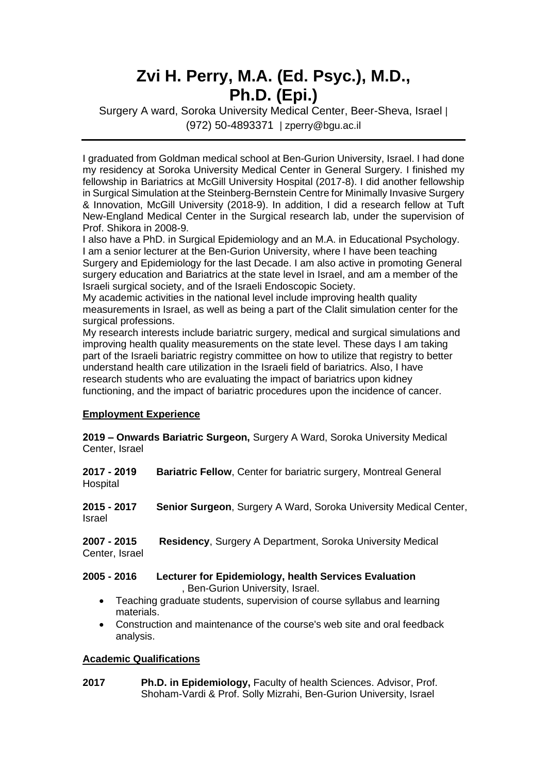# **Zvi H. Perry, M.A. (Ed . Psyc.), M.D., Ph.D. (Epi.)**

Surgery A ward, Soroka University Medical Center, Beer-Sheva, Israel | (972) 50-4893371 | zperry@bgu.ac.il

I graduated from Goldman medical school at Ben-Gurion University, Israel. I had done my residency at Soroka University Medical Center in General Surgery. I finished my fellowship in Bariatrics at McGill University Hospital (2017-8). I did another fellowship in Surgical Simulation at the Steinberg-Bernstein Centre for Minimally Invasive Surgery & Innovation, McGill University (2018-9). In addition, I did a research fellow at Tuft New-England Medical Center in the Surgical research lab, under the supervision of Prof. Shikora in 2008-9.

I also have a PhD. in Surgical Epidemiology and an M.A. in Educational Psychology. I am a senior lecturer at the Ben-Gurion University, where I have been teaching Surgery and Epidemiology for the last Decade. I am also active in promoting General surgery education and Bariatrics at the state level in Israel, and am a member of the Israeli surgical society, and of the Israeli Endoscopic Society.

My academic activities in the national level include improving health quality measurements in Israel, as well as being a part of the Clalit simulation center for the surgical professions.

My research interests include bariatric surgery, medical and surgical simulations and improving health quality measurements on the state level. These days I am taking part of the Israeli bariatric registry committee on how to utilize that registry to better understand health care utilization in the Israeli field of bariatrics. Also, I have research students who are evaluating the impact of bariatrics upon kidney functioning, and the impact of bariatric procedures upon the incidence of cancer.

## **Employment Experience**

**2019 – Onwards Bariatric Surgeon,** Surgery A Ward, Soroka University Medical Center, Israel

| Bariatric Fellow, Center for bariatric surgery, Montreal General                                                                                                                   |
|------------------------------------------------------------------------------------------------------------------------------------------------------------------------------------|
| <b>Senior Surgeon, Surgery A Ward, Soroka University Medical Center,</b>                                                                                                           |
| <b>Residency, Surgery A Department, Soroka University Medical</b>                                                                                                                  |
| Lecturer for Epidemiology, health Services Evaluation<br>, Ben-Gurion University, Israel.<br>Teaching graduate students, supervision of course syllabus and learning<br>materials. |
|                                                                                                                                                                                    |

• Construction and maintenance of the course's web site and oral feedback analysis.

## **Academic Qualifications**

**2017 Ph.D. in Epidemiology,** Faculty of health Sciences. Advisor, Prof. Shoham-Vardi & Prof. Solly Mizrahi, Ben-Gurion University, Israel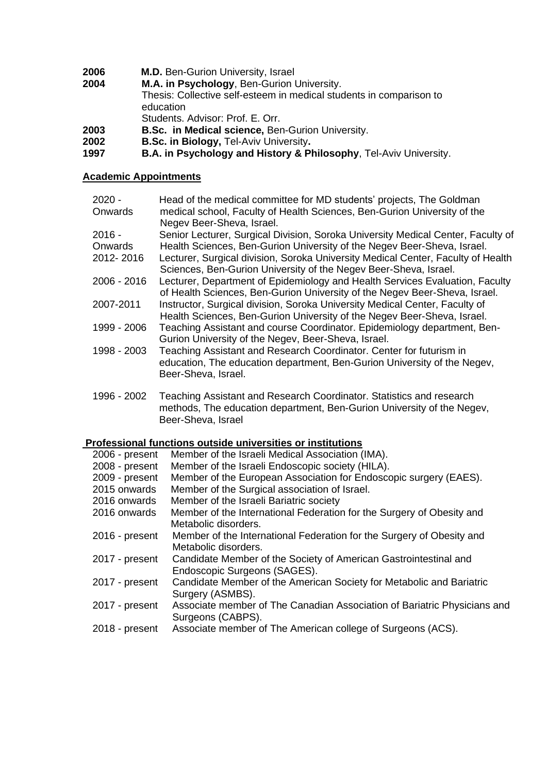| <b>M.D.</b> Ben-Gurion University, Israel |
|-------------------------------------------|
|                                           |

| 2004 | M.A. in Psychology, Ben-Gurion University.                          |
|------|---------------------------------------------------------------------|
|      | Thesis: Collective self-esteem in medical students in comparison to |
|      | education                                                           |
|      | Students, Advisor: Prof. E. Orr.                                    |
| 2003 | <b>B.Sc. in Medical science, Ben-Gurion University.</b>             |
|      |                                                                     |

**2002 B.Sc. in Biology,** Tel-Aviv University**.**

**1997 B.A. in Psychology and History & Philosophy**, Tel-Aviv University.

## **Academic Appointments**

| $2020 -$    | Head of the medical committee for MD students' projects, The Goldman                                                                                                   |
|-------------|------------------------------------------------------------------------------------------------------------------------------------------------------------------------|
| Onwards     | medical school, Faculty of Health Sciences, Ben-Gurion University of the                                                                                               |
|             | Negev Beer-Sheva, Israel.                                                                                                                                              |
| $2016 -$    | Senior Lecturer, Surgical Division, Soroka University Medical Center, Faculty of                                                                                       |
| Onwards     | Health Sciences, Ben-Gurion University of the Negev Beer-Sheva, Israel.                                                                                                |
| 2012-2016   | Lecturer, Surgical division, Soroka University Medical Center, Faculty of Health<br>Sciences, Ben-Gurion University of the Negev Beer-Sheva, Israel.                   |
| 2006 - 2016 | Lecturer, Department of Epidemiology and Health Services Evaluation, Faculty<br>of Health Sciences, Ben-Gurion University of the Negev Beer-Sheva, Israel.             |
| 2007-2011   | Instructor, Surgical division, Soroka University Medical Center, Faculty of<br>Health Sciences, Ben-Gurion University of the Negev Beer-Sheva, Israel.                 |
| 1999 - 2006 | Teaching Assistant and course Coordinator. Epidemiology department, Ben-<br>Gurion University of the Negev, Beer-Sheva, Israel.                                        |
| 1998 - 2003 | Teaching Assistant and Research Coordinator. Center for futurism in<br>education, The education department, Ben-Gurion University of the Negev,<br>Beer-Sheva, Israel. |
| 1996 - 2002 | Teaching Assistant and Research Coordinator. Statistics and research<br>methods, The education department, Ben-Gurion University of the Negev,<br>Beer-Sheva, Israel   |

# **Professional functions outside universities or institutions**

| 2006 - present | Member of the Israeli Medical Association (IMA).                         |
|----------------|--------------------------------------------------------------------------|
| 2008 - present | Member of the Israeli Endoscopic society (HILA).                         |
| 2009 - present | Member of the European Association for Endoscopic surgery (EAES).        |
| 2015 onwards   | Member of the Surgical association of Israel.                            |
| 2016 onwards   | Member of the Israeli Bariatric society                                  |
| 2016 onwards   | Member of the International Federation for the Surgery of Obesity and    |
|                | Metabolic disorders.                                                     |
| 2016 - present | Member of the International Federation for the Surgery of Obesity and    |
|                | Metabolic disorders.                                                     |
| 2017 - present | Candidate Member of the Society of American Gastrointestinal and         |
|                | Endoscopic Surgeons (SAGES).                                             |
| 2017 - present | Candidate Member of the American Society for Metabolic and Bariatric     |
|                | Surgery (ASMBS).                                                         |
| 2017 - present | Associate member of The Canadian Association of Bariatric Physicians and |
|                | Surgeons (CABPS).                                                        |
| 2018 - present | Associate member of The American college of Surgeons (ACS).              |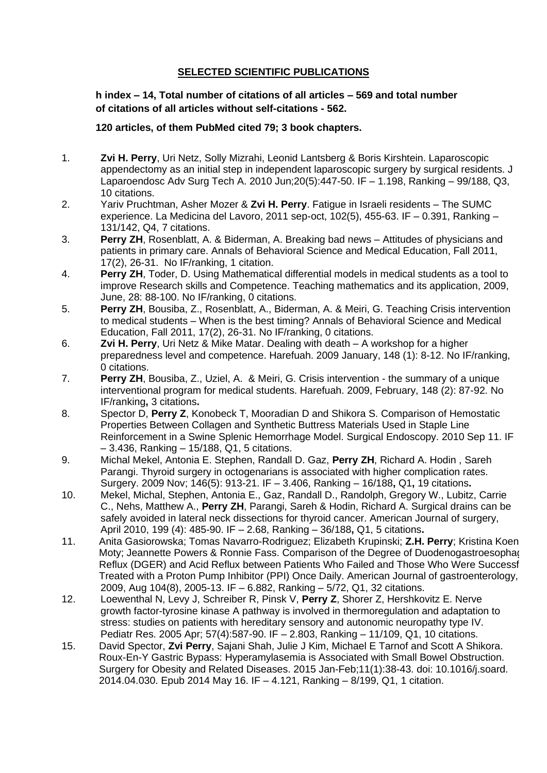## **SELECTED SCIENTIFIC PUBLICATIONS**

**h index – 14, Total number of citations of all articles – 569 and total number of citations of all articles without self-citations - 562.** 

#### **120 articles, of them PubMed cited 79; 3 book chapters.**

- 1. **Zvi H. Perry**, Uri Netz, Solly Mizrahi, Leonid Lantsberg & Boris Kirshtein. Laparoscopic appendectomy as an initial step in independent laparoscopic surgery by surgical residents. J Laparoendosc Adv Surg Tech A. 2010 Jun;20(5):447-50. IF – 1.198, Ranking – 99/188, Q3, 10 citations.
- 2. Yariv Pruchtman, Asher Mozer & **Zvi H. Perry**. Fatigue in Israeli residents The SUMC experience. La Medicina del Lavoro, 2011 sep-oct, 102(5), 455-63. IF – 0.391, Ranking – 131/142, Q4, 7 citations.
- 3. **Perry ZH**, Rosenblatt, A. & Biderman, A. Breaking bad news Attitudes of physicians and patients in primary care. Annals of Behavioral Science and Medical Education, Fall 2011, 17(2), 26-31. No IF/ranking, 1 citation.
- 4. **Perry ZH**, Toder, D. Using Mathematical differential models in medical students as a tool to improve Research skills and Competence. Teaching mathematics and its application, 2009, June, 28: 88-100. No IF/ranking, 0 citations.
- 5. **Perry ZH**, Bousiba, Z., Rosenblatt, A., Biderman, A. & Meiri, G. Teaching Crisis intervention to medical students – When is the best timing? Annals of Behavioral Science and Medical Education, Fall 2011, 17(2), 26-31. No IF/ranking, 0 citations.
- 6. **Zvi H. Perry**, Uri Netz & Mike Matar. Dealing with death A workshop for a higher preparedness level and competence. Harefuah. 2009 January, 148 (1): 8-12. No IF/ranking, 0 citations.
- 7. **Perry ZH**, Bousiba, Z., Uziel, A. & Meiri, G. Crisis intervention the summary of a unique interventional program for medical students. Harefuah. 2009, February, 148 (2): 87-92. No IF/ranking**,** 3 citations**.**
- 8. Spector D, **Perry Z**, Konobeck T, Mooradian D and Shikora S. Comparison of Hemostatic Properties Between Collagen and Synthetic Buttress Materials Used in Staple Line Reinforcement in a Swine Splenic Hemorrhage Model. Surgical Endoscopy. 2010 Sep 11. IF – 3.436, Ranking – 15/188, Q1, 5 citations.
- 9. Michal Mekel, Antonia E. Stephen, Randall D. Gaz, **Perry ZH**, Richard A. Hodin , Sareh Parangi. Thyroid surgery in octogenarians is associated with higher complication rates. Surgery. 2009 Nov; 146(5): 913-21. IF – 3.406, Ranking – 16/188**,** Q1**,** 19 citations**.**
- 10. Mekel, Michal, Stephen, Antonia E., Gaz, Randall D., Randolph, Gregory W., Lubitz, Carrie C., Nehs, Matthew A., **Perry ZH**, Parangi, Sareh & Hodin, Richard A. Surgical drains can be safely avoided in lateral neck dissections for thyroid cancer. American Journal of surgery, April 2010, 199 (4): 485-90. IF – 2.68, Ranking – 36/188**,** Q1, 5 citations**.**
- 11. Anita Gasiorowska; Tomas Navarro-Rodriguez; Elizabeth Krupinski; Z.H. Perry; Kristina Koen Moty; Jeannette Powers & Ronnie Fass. Comparison of the Degree of Duodenogastroesophage Reflux (DGER) and Acid Reflux between Patients Who Failed and Those Who Were Successf Treated with a Proton Pump Inhibitor (PPI) Once Daily. American Journal of gastroenterology, 2009, Aug 104(8), 2005-13. IF – 6.882, Ranking – 5/72, Q1, 32 citations.
- 12. Loewenthal N, Levy J, Schreiber R, Pinsk V, **Perry Z**, Shorer Z, Hershkovitz E. Nerve growth factor-tyrosine kinase A pathway is involved in thermoregulation and adaptation to stress: studies on patients with hereditary sensory and autonomic neuropathy type IV. Pediatr Res. 2005 Apr; 57(4):587-90. IF – 2.803, Ranking – 11/109, Q1, 10 citations.
- 15. David Spector, **Zvi Perry**, Sajani Shah, Julie J Kim, Michael E Tarnof and Scott A Shikora. Roux-En-Y Gastric Bypass: Hyperamylasemia is Associated with Small Bowel Obstruction. Surgery for Obesity and Related Diseases. 2015 Jan-Feb;11(1):38-43. doi: 10.1016/j.soard. 2014.04.030. Epub 2014 May 16. IF – 4.121, Ranking – 8/199, Q1, 1 citation.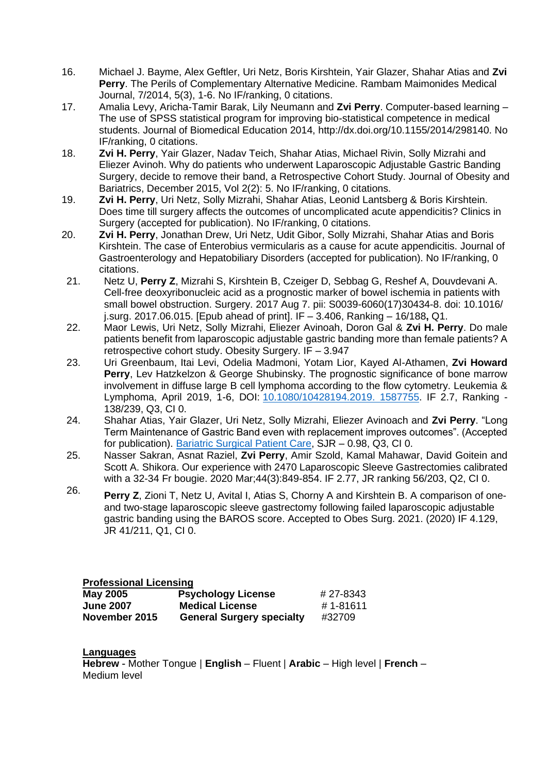- 16. Michael J. Bayme, Alex Geftler, Uri Netz, Boris Kirshtein, Yair Glazer, Shahar Atias and **Zvi Perry**. The Perils of Complementary Alternative Medicine. Rambam Maimonides Medical Journal, 7/2014, 5(3), 1-6. No IF/ranking, 0 citations.
- 17. Amalia Levy, Aricha-Tamir Barak, Lily Neumann and **Zvi Perry**. Computer-based learning The use of SPSS statistical program for improving bio-statistical competence in medical students. Journal of Biomedical Education 2014, [http://dx.doi.org/10.1155/2014/298140.](http://dx.doi.org/10.1155/2014/298140) No IF/ranking, 0 citations.
- 18. **Zvi H. Perry**, Yair Glazer, Nadav Teich, Shahar Atias, Michael Rivin, Solly Mizrahi and Eliezer Avinoh. Why do patients who underwent Laparoscopic Adjustable Gastric Banding Surgery, decide to remove their band, a Retrospective Cohort Study. Journal of Obesity and Bariatrics, December 2015, Vol 2(2): 5. No IF/ranking, 0 citations.
- 19. **Zvi H. Perry**, Uri Netz, Solly Mizrahi, Shahar Atias, Leonid Lantsberg & Boris Kirshtein. Does time till surgery affects the outcomes of uncomplicated acute appendicitis? Clinics in Surgery (accepted for publication). No IF/ranking, 0 citations.
- 20. **Zvi H. Perry**, Jonathan Drew, Uri Netz, Udit Gibor, Solly Mizrahi, Shahar Atias and Boris Kirshtein. The case of Enterobius vermicularis as a cause for acute appendicitis. Journal of Gastroenterology and Hepatobiliary Disorders (accepted for publication). No IF/ranking, 0 citations.
- 21. Netz U, **Perry Z**, Mizrahi S, Kirshtein B, Czeiger D, Sebbag G, Reshef A, Douvdevani A. [Cell-free deoxyribonucleic acid as a prognostic marker of bowel ischemia in patients with](https://www.ncbi.nlm.nih.gov/pubmed/28797546)  [small bowel obstruction.](https://www.ncbi.nlm.nih.gov/pubmed/28797546) Surgery. 2017 Aug 7. pii: S0039-6060(17)30434-8. doi: 10.1016/ j.surg. 2017.06.015. [Epub ahead of print]. IF – 3.406, Ranking – 16/188**,** Q1.
- 22. Maor Lewis, Uri Netz, Solly Mizrahi, Eliezer Avinoah, Doron Gal & **Zvi H. Perry**. Do male patients benefit from laparoscopic adjustable gastric banding more than female patients? A retrospective cohort study. Obesity Surgery. IF – 3.947
- 23. Uri Greenbaum, Itai Levi, Odelia Madmoni, Yotam Lior, Kayed Al-Athamen, **Zvi Howard Perry**, Lev Hatzkelzon & George Shubinsky. The prognostic significance of bone marrow involvement in diffuse large B cell lymphoma according to the flow cytometry. Leukemia & Lymphoma, April 2019, 1-6, DOI: [10.1080/10428194.2019. 1587755.](https://doi.org/10.1080/10428194.2019.1587755) IF 2.7, Ranking - 138/239, Q3, CI 0.
- 24. Shahar Atias, Yair Glazer, Uri Netz, Solly Mizrahi, Eliezer Avinoach and **Zvi Perry**. "Long Term Maintenance of Gastric Band even with replacement improves outcomes". (Accepted for publication). [Bariatric Surgical Patient Care,](https://www.scimagojr.com/journalsearch.php?q=21100829265&tip=sid&clean=0) SJR – 0.98, Q3, CI 0.
- 25. Nasser Sakran, Asnat Raziel, **Zvi Perry**, Amir Szold, Kamal Mahawar, David Goitein and Scott A. Shikora. Our experience with 2470 Laparoscopic Sleeve Gastrectomies calibrated with a 32-34 Fr bougie. 2020 Mar;44(3):849-854. IF 2.77, JR ranking 56/203, Q2, CI 0.
- 26. **Perry <sup>Z</sup>**, Zioni T, Netz U, Avital I, Atias S, Chorny <sup>A</sup> and Kirshtein B. A comparison of oneand two-stage laparoscopic sleeve gastrectomy following failed laparoscopic adjustable gastric banding using the BAROS score. Accepted to Obes Surg. 2021. (2020) IF 4.129, JR 41/211, Q1, CI 0.

**Professional Licensing**

| May 2005         | <b>Psychology License</b>        | # 27-8343 |
|------------------|----------------------------------|-----------|
| <b>June 2007</b> | <b>Medical License</b>           | #1-81611  |
| November 2015    | <b>General Surgery specialty</b> | #32709    |

#### **Languages**

**Hebrew** - Mother Tongue | **English** – Fluent | **Arabic** – High level | **French** – Medium level